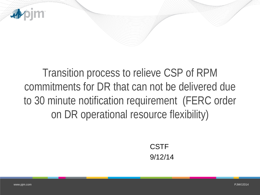

## Transition process to relieve CSP of RPM commitments for DR that can not be delivered due to 30 minute notification requirement (FERC order on DR operational resource flexibility)

**CSTF** 9/12/14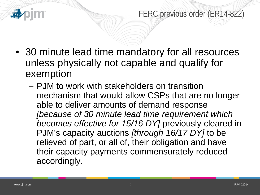

FERC previous order (ER14-822)

- 30 minute lead time mandatory for all resources unless physically not capable and qualify for exemption
	- PJM to work with stakeholders on transition mechanism that would allow CSPs that are no longer able to deliver amounts of demand response *[because of 30 minute lead time requirement which becomes effective for 15/16 DY]* previously cleared in PJM's capacity auctions *[through 16/17 DY]* to be relieved of part, or all of, their obligation and have their capacity payments commensurately reduced accordingly.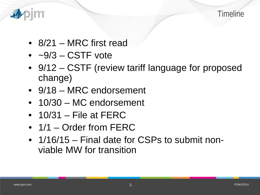



- 8/21 MRC first read
- $\bullet$  ~9/3 CSTF vote
- 9/12 CSTF (review tariff language for proposed change)
- 9/18 MRC endorsement
- 10/30 MC endorsement
- $10/31$  File at FERC
- 1/1 Order from FERC
- 1/16/15 Final date for CSPs to submit nonviable MW for transition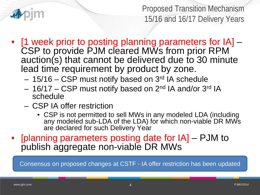

Proposed Transition Mechanism 15/16 and 16/17 Delivery Years

- [1 week prior to posting planning parameters for IA] CSP to provide PJM cleared MWs from prior RPM auction(s) that cannot be delivered due to 30 minute lead time requirement by product by zone.
	- 15/16 CSP must notify based on 3rd IA schedule
	- $-$  16/17 CSP must notify based on 2<sup>nd</sup> IA and/or 3<sup>rd</sup> IA schedule
	- CSP IA offer restriction
		- CSP is not permitted to sell MWs in any modeled LDA (including any modeled sub-LDA of the LDA) for which non-viable DR MWs are declared for such Delivery Year
- [planning parameters posting date for IA] PJM to publish aggregate non-viable DR MWs

Consensus on proposed changes at CSTF - IA offer restriction has been updated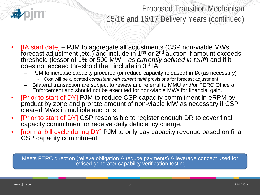

Proposed Transition Mechanism 15/16 and 16/17 Delivery Years (continued)

- [IA start date] PJM to aggregate all adjustments (CSP non-viable MWs, forecast adjustment ,etc.) and include in 1rst or 2nd auction if amount exceeds threshold (lessor of 1% or 500 MW – *as currently defined in tariff*) and if it does not exceed threshold then include in 3rd IA
	- PJM to increase capacity procured (or reduce capacity released) in IA (as necessary)
		- Cost will be allocated *consistent with current tariff* provisions for forecast adjustment
	- Bilateral transaction are subject to review and referral to MMU and/or FERC Office of Enforcement and should not be executed for non-viable MWs for financial gain.
- [Prior to start of DY] PJM to reduce CSP capacity commitment in eRPM by product by zone and prorate amount of non-viable MW as necessary if CSP cleared MWs in multiple auctions
- [Prior to start of DY] CSP responsible to register enough DR to cover final capacity commitment or receive daily deficiency charge.
- [normal bill cycle during DY] PJM to only pay capacity revenue based on final CSP capacity commitment

Meets FERC direction (relieve obligation & reduce payments) & leverage concept used for revised generator capability verification testing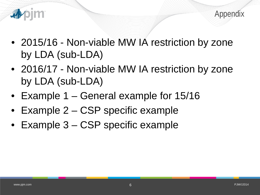



- 2015/16 Non-viable MW IA restriction by zone by LDA (sub-LDA)
- 2016/17 Non-viable MW IA restriction by zone by LDA (sub-LDA)
- Example 1 General example for 15/16
- Example 2 CSP specific example
- Example 3 CSP specific example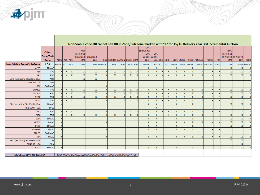

|                                |                              | Non-Viable Zone DR cannot sell DR in Zone/Sub Zone marked with "X" for 15/16 Delivery Year 3rd Incremental Auction |                           |                           |                                                                |            |                           |            |                           |                         |                         |                          |             |                           |                         |                         |            |            |              |                  |     |                           |                |              |
|--------------------------------|------------------------------|--------------------------------------------------------------------------------------------------------------------|---------------------------|---------------------------|----------------------------------------------------------------|------------|---------------------------|------------|---------------------------|-------------------------|-------------------------|--------------------------|-------------|---------------------------|-------------------------|-------------------------|------------|------------|--------------|------------------|-----|---------------------------|----------------|--------------|
|                                |                              |                                                                                                                    |                           |                           |                                                                |            |                           |            |                           |                         |                         | <b>DPL</b>               |             |                           |                         |                         |            |            |              |                  |     |                           |                |              |
|                                | Offer                        |                                                                                                                    |                           |                           | <b>ATSI</b><br><i>(excluding</i>                               |            |                           |            |                           |                         |                         | (excluding<br><b>DPL</b> | <b>DPL</b>  |                           |                         |                         |            |            |              |                  |     | <b>PSEG</b><br>(excluding |                |              |
|                                | Zone/Sub                     |                                                                                                                    |                           |                           | Cleveland                                                      | Cleveland  |                           |            |                           |                         |                         | SOUTH SOUTH              |             |                           |                         |                         |            |            |              |                  |     | PS NORTH PS NORTH         |                |              |
|                                | Zone                         | AECO AEP APS                                                                                                       |                           |                           | LDA)                                                           | <b>LDA</b> |                           |            | BGE COMED DAYTON DEOK DOM |                         |                         | LDA                      |             |                           | LDA DUQ EKPC            |                         | JCPL METED |            | PECO PENELEC | PEPCO            | PPL | LDA)                      | <b>LDA</b>     | <b>RECO</b>  |
| Non-Viable Zone/Sub-Zone       | <b>LDA</b>                   | EMAAC RTO RTO                                                                                                      |                           |                           | <b>ATSI</b>                                                    |            | ATSI SWMAAC               | <b>RTO</b> | <b>RTO</b>                | <b>RTO</b>              | <b>RTO</b>              | <b>EMAAC</b>             | <b>DPLS</b> | <b>RTO</b>                |                         | RTO EMAAC               |            | MAAC EMAAC |              | MAAC SWMAAC MAAC |     | <b>PS</b>                 |                | PS-N EMAAC   |
| <b>AECO</b>                    | <b>EMAAC</b>                 |                                                                                                                    |                           |                           |                                                                |            |                           |            |                           |                         |                         | X                        |             |                           |                         |                         |            |            |              |                  |     | X                         |                |              |
| AEP                            | <b>RTO</b>                   | X                                                                                                                  | $\mathsf{x}$              | $\boldsymbol{\mathsf{x}}$ |                                                                | X          | $\boldsymbol{\mathsf{x}}$ | X          | $\mathsf{x}$              | X                       |                         | X                        |             | $\boldsymbol{\mathsf{x}}$ | $\mathsf{x}$            |                         |            |            |              |                  |     | X                         |                |              |
| <b>APS</b>                     | <b>RTO</b>                   | x                                                                                                                  | $\boldsymbol{\mathsf{x}}$ | $\boldsymbol{\mathsf{x}}$ |                                                                |            |                           |            | $\mathbf{x}$              | $\mathsf{x}$            |                         |                          | X           | $\mathbf{x}$              |                         |                         |            |            |              |                  |     | X                         |                |              |
| ATSI (excluding Cleveland LDA) | <b>ATSI</b>                  |                                                                                                                    |                           |                           |                                                                |            |                           |            |                           |                         |                         |                          |             |                           |                         |                         |            |            |              |                  |     |                           |                |              |
| <b>Cleveland LDA</b>           | <b>ATSI</b><br><b>SWMAAC</b> |                                                                                                                    |                           |                           |                                                                |            | $\mathbf x$               |            |                           |                         |                         |                          |             |                           |                         |                         |            |            |              |                  |     |                           |                |              |
| <b>BGE</b><br><b>COMED</b>     | <b>RTO</b>                   |                                                                                                                    | X                         | $\boldsymbol{\mathsf{x}}$ |                                                                |            | $\mathsf{x}$              |            | $\mathsf{x}$              | X                       | X                       | $\mathsf{x}$             | x           | $\mathsf{x}$              | X                       | X                       | x          |            |              |                  |     | X                         |                |              |
| <b>DAYTON</b>                  | <b>RTO</b>                   |                                                                                                                    | X                         | $\boldsymbol{\mathsf{x}}$ |                                                                |            | $\overline{\mathsf{x}}$   |            | X                         | x                       |                         | X                        |             | $\mathsf{x}$              |                         |                         |            |            |              |                  |     | X                         |                | X            |
| <b>DEOK</b>                    | <b>RTO</b>                   |                                                                                                                    | $\overline{\mathsf{x}}$   | $\overline{\mathbf{x}}$   |                                                                |            | $\overline{\mathbf{x}}$   |            | $\mathsf{x}$              | $\overline{\mathsf{x}}$ |                         | X                        |             | $\mathbf{\hat{x}}$        |                         | x                       |            |            |              |                  |     |                           |                |              |
| <b>DOM</b>                     | <b>RTO</b>                   |                                                                                                                    | X                         | $\mathsf{x}$              |                                                                |            | $\overline{\mathsf{x}}$   |            | $\mathsf{x}$              | $\mathsf{x}$            | $\overline{\mathbf{x}}$ | X                        |             | $\mathbf{x}$              | $\overline{\mathsf{x}}$ |                         |            |            |              |                  |     | X                         |                |              |
| DPL (excluding DPL SOUTH LDA)  | <b>EMAAC</b>                 | x                                                                                                                  |                           |                           |                                                                |            |                           |            |                           |                         |                         |                          |             |                           |                         |                         |            |            |              |                  |     |                           |                |              |
| <b>DPL SOUTH LDA</b>           | <b>DPLS</b>                  |                                                                                                                    |                           |                           |                                                                |            |                           |            |                           |                         |                         |                          |             |                           |                         |                         |            |            |              |                  |     |                           |                |              |
| <b>DUQ</b>                     | <b>RTO</b>                   | x                                                                                                                  | $\mathsf{x}$              | $\boldsymbol{\mathsf{x}}$ |                                                                | X          | $\mathsf{x}$              | X          | $\mathsf{x}$              | X                       | X                       | $\mathsf{x}$             |             | $\mathbf{x}$              | $\mathsf{x}$            | X                       |            |            |              |                  |     | X                         |                |              |
| <b>EKPC</b>                    | <b>RTO</b>                   | x                                                                                                                  | $\mathsf{x}$              | $\boldsymbol{\mathsf{x}}$ |                                                                |            |                           |            | $\mathsf{x}$              | $\mathsf{x}$            |                         |                          |             | $\mathsf{x}$              |                         |                         |            |            |              |                  |     |                           |                |              |
| <b>JCPL</b>                    | <b>EMAAC</b>                 | x                                                                                                                  |                           |                           |                                                                |            |                           |            |                           |                         |                         |                          |             |                           |                         | X                       |            |            |              |                  |     |                           |                | X            |
| <b>METED</b>                   | <b>MAAC</b>                  | xl                                                                                                                 |                           |                           |                                                                |            | $\mathsf{x}$              |            |                           |                         |                         |                          |             |                           |                         |                         |            |            | X            |                  |     |                           |                |              |
| PECO                           | <b>EMAAC</b>                 |                                                                                                                    |                           |                           |                                                                |            |                           |            |                           |                         |                         |                          |             |                           |                         |                         |            |            |              |                  |     |                           |                |              |
| <b>PENELEC</b>                 | <b>MAAC</b>                  | $\mathsf{x}$                                                                                                       |                           |                           |                                                                |            | X                         |            |                           |                         |                         |                          |             |                           |                         | $\overline{\mathbf{x}}$ |            |            |              |                  |     | x                         |                |              |
| PEPCO                          | <b>SWMAAC</b>                |                                                                                                                    |                           |                           |                                                                |            |                           |            |                           |                         |                         |                          |             |                           |                         |                         |            |            |              |                  |     |                           |                |              |
| PPL                            | <b>MAAC</b>                  | x                                                                                                                  |                           |                           |                                                                |            | $\overline{\mathsf{x}}$   |            |                           |                         |                         | X                        | x           |                           |                         | $\overline{\mathsf{x}}$ |            |            | $\mathbf x$  |                  |     | $\overline{\mathsf{x}}$   |                |              |
| PSEG (excluding PS NORTH LDA)  | PS                           |                                                                                                                    |                           |                           |                                                                |            |                           |            |                           |                         |                         |                          |             |                           |                         |                         |            |            |              |                  |     |                           |                |              |
| PS NORTH LDA                   | PS-N                         |                                                                                                                    |                           |                           |                                                                |            |                           |            |                           |                         |                         |                          |             |                           |                         |                         |            |            |              |                  |     |                           |                |              |
| <b>RECO</b>                    | <b>EMAAC</b>                 | x                                                                                                                  |                           |                           |                                                                |            |                           |            |                           |                         |                         | $\mathbf{x}$             | x           |                           |                         | $\mathbf{x}$            |            | x          |              |                  |     | $\mathbf x$               | x <sub>l</sub> | $\mathsf{x}$ |
| MODELED LDAs for 15/16 DY      |                              |                                                                                                                    |                           |                           | RTO, MAAC, EMAAC, SWMAAC, PS, PS NORTH, DPL SOUTH, PEPCO, ATSI |            |                           |            |                           |                         |                         |                          |             |                           |                         |                         |            |            |              |                  |     |                           |                |              |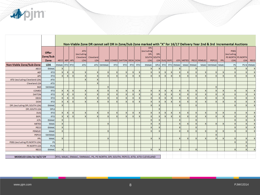

|                                                                                                             | Offer<br>Zone/Sub   |                      |                           |                           | Non-Viable Zone DR cannot sell DR in Zone/Sub Zone marked with "X" for 16/17 Delivery Year 2nd & 3rd Incremental Auctions<br><b>ATSI</b><br>(excluding<br>Cleveland | Cleveland  |                         |            |                           |              |              | <b>DPL</b><br>(excluding<br><b>DPL</b> | <b>DPL</b><br>SOUTH SOUTH |                         |                           |               |                           |            |              |                  |     | <b>PSEG</b><br>(excluding | PS NORTH PS NORTH |                                |
|-------------------------------------------------------------------------------------------------------------|---------------------|----------------------|---------------------------|---------------------------|---------------------------------------------------------------------------------------------------------------------------------------------------------------------|------------|-------------------------|------------|---------------------------|--------------|--------------|----------------------------------------|---------------------------|-------------------------|---------------------------|---------------|---------------------------|------------|--------------|------------------|-----|---------------------------|-------------------|--------------------------------|
|                                                                                                             | Zone                | AECO AEP APS         |                           |                           | LDA)                                                                                                                                                                | <b>LDA</b> |                         |            | BGE COMED DAYTON DEOK DOM |              |              | LDA)                                   |                           |                         | LDA DUQ EKPC              |               | JCPL METED                |            | PECO PENELEC | PEPCO            | PPL | LDA)                      | LDA               | <b>RECO</b>                    |
| Non-Viable Zone/Sub-Zone<br><b>AECO</b>                                                                     | LDA<br><b>EMAAC</b> | <b>EMAAC RTO RTO</b> |                           |                           | <b>ATSI</b>                                                                                                                                                         |            | ATSI SWMAAC             | <b>RTO</b> | <b>RTO</b>                | <b>RTO</b>   | <b>RTO</b>   | <b>EMAAC</b><br>X                      | <b>DPLS</b>               |                         |                           | RTO RTO EMAAC |                           | MAAC EMAAC |              | MAAC SWMAAC MAAC |     | <b>PS</b>                 |                   | PS-N EMAAC                     |
| <b>AEP</b>                                                                                                  | <b>RTO</b>          | $\mathsf{x}$         | $\boldsymbol{\mathsf{x}}$ | $\boldsymbol{\mathsf{x}}$ |                                                                                                                                                                     |            | X                       |            | X                         | x            |              | X                                      | xl                        | $\mathbf x$             | X                         |               | X                         |            |              |                  |     | $\overline{\mathsf{x}}$   |                   | X<br>$\boldsymbol{\mathsf{x}}$ |
| <b>APS</b>                                                                                                  | <b>RTO</b>          | xl                   | $\mathsf{x}$              | $\overline{\mathsf{x}}$   |                                                                                                                                                                     |            | $\overline{\mathbf{x}}$ |            | $\mathbf{x}$              | X            |              |                                        | xl                        | $\overline{\mathsf{x}}$ |                           |               | x <sub>l</sub>            |            |              |                  |     | $\mathbf{x}$              |                   | $\boldsymbol{\mathsf{x}}$      |
| ATSI (excluding Cleveland LDA)                                                                              | <b>ATSI</b>         |                      |                           |                           |                                                                                                                                                                     |            |                         |            |                           |              |              |                                        |                           |                         |                           |               |                           |            |              |                  |     |                           |                   |                                |
| <b>Cleveland LDA</b>                                                                                        | <b>ATSI</b>         |                      |                           |                           |                                                                                                                                                                     |            |                         |            |                           |              |              |                                        |                           |                         |                           |               |                           |            |              |                  |     |                           |                   |                                |
| <b>BGE</b>                                                                                                  | <b>SWMAAC</b>       |                      |                           |                           |                                                                                                                                                                     |            | X                       |            |                           |              |              |                                        |                           |                         |                           |               |                           |            |              |                  |     |                           |                   |                                |
| <b>COMED</b>                                                                                                | <b>RTO</b>          | x                    | $\boldsymbol{\mathsf{x}}$ | $\boldsymbol{\mathsf{x}}$ |                                                                                                                                                                     |            | $\overline{\mathsf{x}}$ |            | $\mathsf{x}$              | x            | $\mathsf{x}$ | X                                      | xl                        | $\mathsf{x}$            | $\boldsymbol{\mathsf{x}}$ |               | X                         |            |              |                  |     | X                         |                   | $\boldsymbol{\mathsf{x}}$      |
| <b>DAYTON</b>                                                                                               | <b>RTO</b>          |                      | $\mathsf{x}$              | $\overline{\mathsf{x}}$   |                                                                                                                                                                     |            |                         |            | $\mathsf{x}$              | $\mathsf{x}$ |              |                                        | xl                        | $\overline{\mathbf{x}}$ |                           |               | X                         |            |              |                  |     |                           |                   | $\boldsymbol{\mathsf{x}}$      |
| <b>DEOK</b>                                                                                                 | <b>RTO</b>          |                      | $\mathsf{x}$              | $\mathbf{x}$              |                                                                                                                                                                     |            |                         |            | $\mathbf{x}$              | $\mathbf x$  |              |                                        |                           |                         |                           |               |                           |            |              |                  |     | X                         |                   | X                              |
| <b>DOM</b>                                                                                                  | <b>RTO</b>          | X                    | $\mathsf{x}$              | $\mathbf{x}$              |                                                                                                                                                                     |            |                         |            | $\mathbf{x}$              | $\mathsf{x}$ |              |                                        | x                         | $\mathbf{x}$            | $\mathbf{x}$              |               | X                         |            |              |                  |     | X                         |                   | X                              |
| DPL (excluding DPL SOUTH LDA)                                                                               | <b>EMAAC</b>        | $\mathbf{x}$         |                           |                           |                                                                                                                                                                     |            |                         |            |                           |              |              |                                        | X                         |                         |                           | X             |                           |            |              |                  |     |                           |                   | $\boldsymbol{\mathsf{x}}$      |
| <b>DPL SOUTH LDA</b>                                                                                        | <b>DPLS</b>         |                      |                           |                           |                                                                                                                                                                     |            |                         |            |                           |              |              |                                        | X                         |                         |                           |               |                           |            |              |                  |     |                           |                   |                                |
| <b>DUQ</b>                                                                                                  | <b>RTO</b>          | X                    | $\mathsf{x}$              | $\mathsf{x}$              |                                                                                                                                                                     |            | X                       |            | X                         | X            |              | X                                      | x                         |                         | $\mathsf{x}$              |               | $\boldsymbol{\mathsf{x}}$ |            |              |                  |     | X                         |                   | $\boldsymbol{\mathsf{x}}$      |
| <b>EKPC</b>                                                                                                 | <b>RTO</b>          | $\mathbf{x}$         | $\mathbf{x}$              | $\overline{\mathbf{x}}$   |                                                                                                                                                                     |            |                         |            | $\mathsf{x}$              | X            |              |                                        | x                         | $\mathbf x$             | $\mathsf{x}$              |               |                           |            |              |                  |     | X                         |                   | $\pmb{\mathsf{x}}$             |
| <b>JCPL</b>                                                                                                 | <b>EMAAC</b>        | X                    |                           |                           |                                                                                                                                                                     |            |                         |            |                           |              |              |                                        | X                         |                         |                           |               |                           |            |              |                  |     |                           |                   | $\pmb{\mathsf{x}}$             |
| <b>METED</b>                                                                                                | <b>MAAC</b>         | X                    |                           |                           |                                                                                                                                                                     |            | $\overline{\mathsf{x}}$ |            |                           |              |              |                                        | X                         |                         |                           |               | $\overline{\mathbf{x}}$   |            |              |                  |     |                           |                   | $\pmb{\mathsf{x}}$             |
| PECO                                                                                                        | <b>EMAAC</b>        | X                    |                           |                           |                                                                                                                                                                     |            |                         |            |                           |              |              |                                        | X                         |                         |                           |               |                           |            |              |                  |     |                           |                   | $\boldsymbol{\mathsf{x}}$      |
| <b>PENELEC</b>                                                                                              | <b>MAAC</b>         | $\mathsf{x}$         |                           |                           |                                                                                                                                                                     |            | $\mathsf{x}$            |            |                           |              |              |                                        | X                         |                         |                           | X             | X                         |            |              |                  |     | $\mathsf{x}$              |                   | $\boldsymbol{\mathsf{x}}$      |
| PEPCO                                                                                                       | <b>SWMAAC</b>       |                      |                           |                           |                                                                                                                                                                     |            |                         |            |                           |              |              |                                        |                           |                         |                           |               |                           |            |              |                  |     |                           |                   |                                |
| PPL                                                                                                         | <b>MAAC</b>         | X                    |                           |                           |                                                                                                                                                                     |            | X                       |            |                           |              |              | x                                      | x                         |                         |                           | x             | X                         |            |              |                  | x   | X                         |                   | $\boldsymbol{\mathsf{x}}$      |
| PSEG (excluding PS NORTH LDA)                                                                               | PS<br>PS-N          |                      |                           |                           |                                                                                                                                                                     |            |                         |            |                           |              |              |                                        |                           |                         |                           |               |                           |            |              |                  |     | $\mathbf x$               |                   |                                |
| PS NORTH LDA<br><b>RECO</b>                                                                                 | <b>EMAAC</b>        | X                    |                           |                           |                                                                                                                                                                     |            |                         |            |                           |              |              |                                        | $\overline{\mathsf{x}}$   |                         |                           | X             |                           |            |              |                  |     | $\overline{\mathsf{x}}$   |                   | $\mathsf{x}$                   |
|                                                                                                             |                     |                      |                           |                           |                                                                                                                                                                     |            |                         |            |                           |              |              |                                        |                           |                         |                           |               |                           |            |              |                  |     |                           |                   |                                |
| MODELED LDAs for 16/17 DY<br>RTO, MAAC, EMAAC, SWMAAC, PS, PS NORTH, DPL SOUTH, PEPCO, ATSI, ATSI CLEVELAND |                     |                      |                           |                           |                                                                                                                                                                     |            |                         |            |                           |              |              |                                        |                           |                         |                           |               |                           |            |              |                  |     |                           |                   |                                |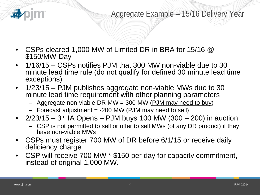

Aggregate Example – 15/16 Delivery Year

- CSPs cleared 1,000 MW of Limited DR in BRA for 15/16 @ \$150/MW-Day
- 1/16/15 CSPs notifies PJM that 300 MW non-viable due to 30 minute lead time rule (do not qualify for defined 30 minute lead time exceptions)
- 1/23/15 PJM publishes aggregate non-viable MWs due to 30 minute lead time requirement with other planning parameters
	- Aggregate non-viable DR MW = 300 MW ( $PJM$  may need to buy)
	- $-$  Forecast adjustment = -200 MW ( $PJM$  may need to sell)
- $2/23/15 3$ <sup>rd</sup> IA Opens PJM buys 100 MW (300 200) in auction – CSP is not permitted to sell or offer to sell MWs (of any DR product) if they
	- have non-viable MWs
- CSPs must register 700 MW of DR before 6/1/15 or receive daily deficiency charge
- CSP will receive 700 MW \* \$150 per day for capacity commitment, instead of original 1,000 MW.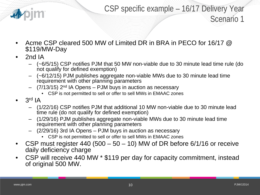

CSP specific example – 16/17 Delivery Year

Scenario 1

- Acme CSP cleared 500 MW of Limited DR in BRA in PECO for 16/17 @ \$119/MW-Day
- 2nd IA
	- (~6/5/15) CSP notifies PJM that 50 MW non-viable due to 30 minute lead time rule (do not qualify for defined exemption)
	- (~6/12/15) PJM publishes aggregate non-viable MWs due to 30 minute lead time requirement with other planning parameters
	- $-$  (7/13/15) 2<sup>nd</sup> IA Opens PJM buys in auction as necessary
		- CSP is not permitted to sell or offer to sell MWs in EMAAC zones
- $3<sup>rd</sup>$  IA
	- (1/22/16) CSP notifies PJM that additional 10 MW non-viable due to 30 minute lead time rule (do not qualify for defined exemption)
	- (1/29/16) PJM publishes aggregate non-viable MWs due to 30 minute lead time requirement with other planning parameters
	- (2/29/16) 3rd IA Opens PJM buys in auction as necessary
		- CSP is not permitted to sell or offer to sell MWs in EMAAC zones
- CSP must register 440 (500 50 10) MW of DR before 6/1/16 or receive daily deficiency charge
- CSP will receive 440 MW \* \$119 per day for capacity commitment, instead of original 500 MW.